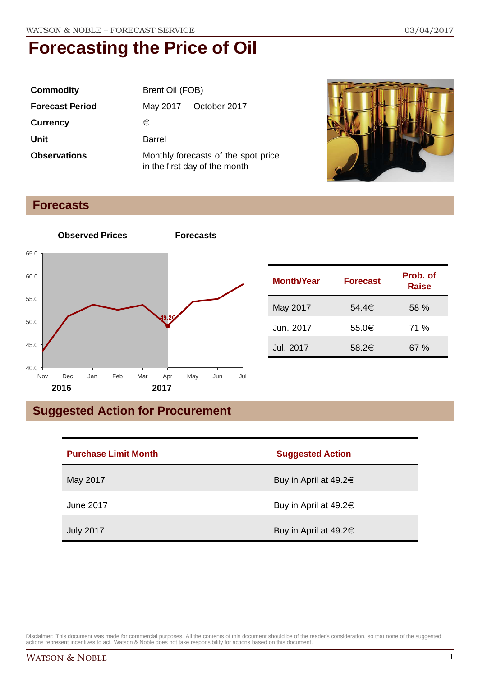| <b>Commodity</b>       | Brent Oil (FOB)                                                      |  |
|------------------------|----------------------------------------------------------------------|--|
| <b>Forecast Period</b> | May 2017 - October 2017                                              |  |
| <b>Currency</b>        | €                                                                    |  |
| Unit                   | Barrel                                                               |  |
| <b>Observations</b>    | Monthly forecasts of the spot price<br>in the first day of the month |  |



#### **Forecasts**



| <b>Month/Year</b> | <b>Forecast</b> | Prob. of<br><b>Raise</b> |
|-------------------|-----------------|--------------------------|
| May 2017          | 54.4€           | 58%                      |
| Jun. 2017         | 55.0€           | 71 %                     |
| <b>Jul. 2017</b>  | 58.2€           | 67 %                     |

### **Suggested Action for Procurement**

| <b>Purchase Limit Month</b> | <b>Suggested Action</b>    |
|-----------------------------|----------------------------|
| May 2017                    | Buy in April at 49.2 $\in$ |
| June 2017                   | Buy in April at 49.2 $\in$ |
| <b>July 2017</b>            | Buy in April at 49.2 $\in$ |

Disclaimer: This document was made for commercial purposes. All the contents of this document should be of the reader's consideration, so that none of the suggested<br>actions represent incentives to act. Watson & Noble does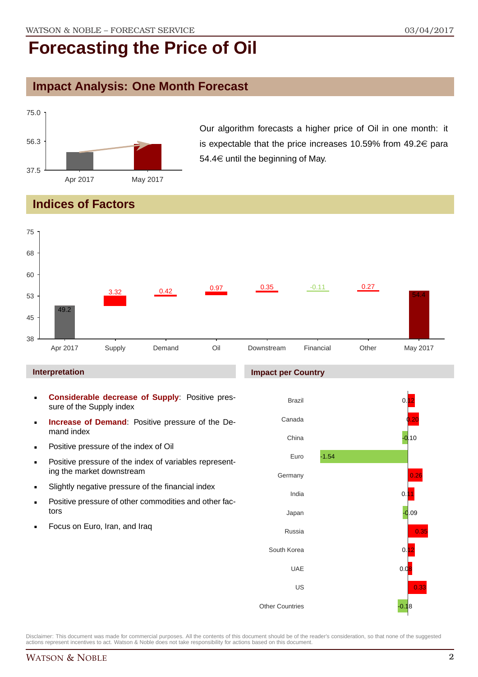### **Impact Analysis: One Month Forecast**



Our algorithm forecasts a higher price of Oil in one month: it is expectable that the price increases 10.59% from  $49.2 \in$  para 54.4 $\in$  until the beginning of May.

#### **Indices of Factors**



#### **Interpretation**

- **Considerable decrease of Supply**: Positive pressure of the Supply index
- **Increase of Demand**: Positive pressure of the Demand index
- **Positive pressure of the index of Oil**
- **Positive pressure of the index of variables represent**ing the market downstream
- **Slightly negative pressure of the financial index**
- **Positive pressure of other commodities and other fac**tors
- Focus on Euro, Iran, and Iraq

#### **Impact per Country**

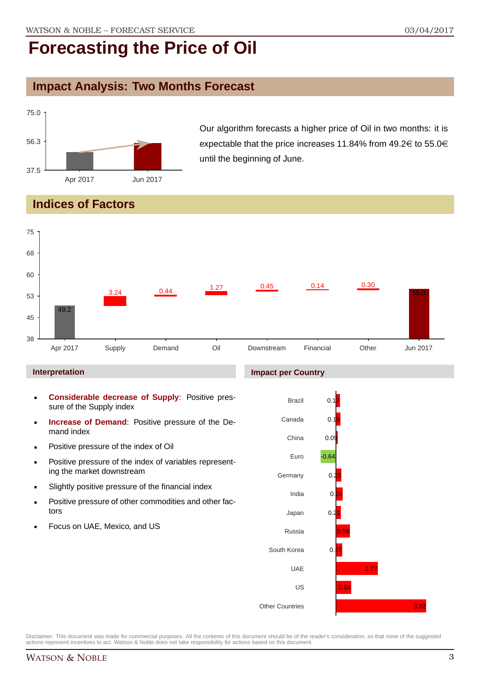### **Impact Analysis: Two Months Forecast**



Our algorithm forecasts a higher price of Oil in two months: it is expectable that the price increases 11.84% from  $49.2 \in \text{to } 55.0 \in$ until the beginning of June.

#### **Indices of Factors**

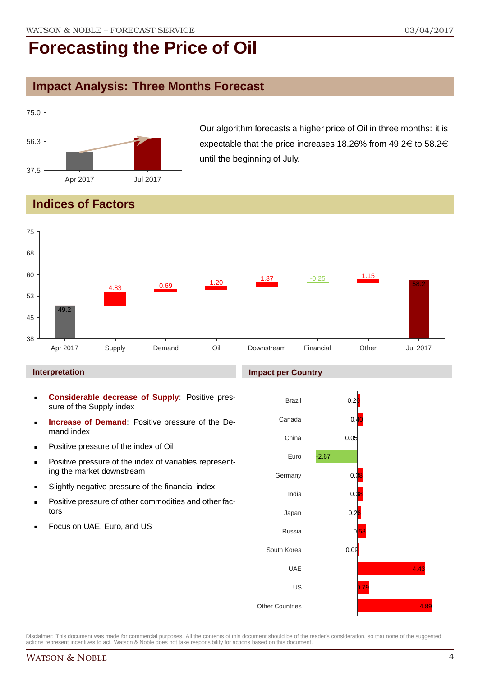### **Impact Analysis: Three Months Forecast**



Our algorithm forecasts a higher price of Oil in three months: it is expectable that the price increases 18.26% from  $49.2 \in \mathfrak{t}$  to 58.2 $\in$ until the beginning of July.

#### **Indices of Factors**



#### **Interpretation**

- **Considerable decrease of Supply**: Positive pressure of the Supply index
- **Increase of Demand**: Positive pressure of the Demand index
- **Positive pressure of the index of Oil**
- **Positive pressure of the index of variables represent**ing the market downstream
- Slightly negative pressure of the financial index
- **Positive pressure of other commodities and other fac**tors
- Focus on UAE, Euro, and US

#### **Impact per Country**

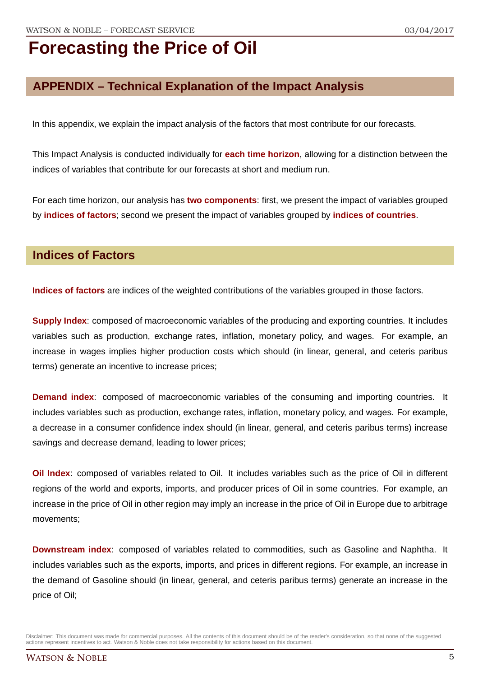### **APPENDIX – Technical Explanation of the Impact Analysis**

In this appendix, we explain the impact analysis of the factors that most contribute for our forecasts.

This Impact Analysis is conducted individually for **each time horizon**, allowing for a distinction between the indices of variables that contribute for our forecasts at short and medium run.

For each time horizon, our analysis has **two components**: first, we present the impact of variables grouped by **indices of factors**; second we present the impact of variables grouped by **indices of countries**.

#### **Indices of Factors**

**Indices of factors** are indices of the weighted contributions of the variables grouped in those factors.

**Supply Index**: composed of macroeconomic variables of the producing and exporting countries. It includes variables such as production, exchange rates, inflation, monetary policy, and wages. For example, an increase in wages implies higher production costs which should (in linear, general, and ceteris paribus terms) generate an incentive to increase prices;

**Demand index**: composed of macroeconomic variables of the consuming and importing countries. It includes variables such as production, exchange rates, inflation, monetary policy, and wages. For example, a decrease in a consumer confidence index should (in linear, general, and ceteris paribus terms) increase savings and decrease demand, leading to lower prices;

**Oil Index**: composed of variables related to Oil. It includes variables such as the price of Oil in different regions of the world and exports, imports, and producer prices of Oil in some countries. For example, an increase in the price of Oil in other region may imply an increase in the price of Oil in Europe due to arbitrage movements;

**Downstream index**: composed of variables related to commodities, such as Gasoline and Naphtha. It includes variables such as the exports, imports, and prices in different regions. For example, an increase in the demand of Gasoline should (in linear, general, and ceteris paribus terms) generate an increase in the price of Oil;